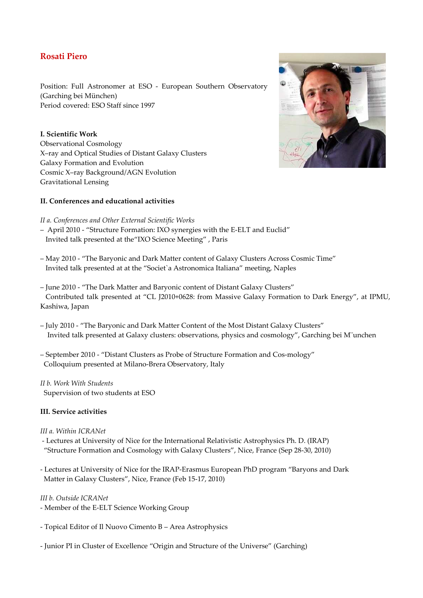# **Rosati Piero**

Position: Full Astronomer at ESO - European Southern Observatory (Garching bei München) Period covered: ESO Staff since 1997

### **I. Scientific Work**

Observational Cosmology X–ray and Optical Studies of Distant Galaxy Clusters Galaxy Formation and Evolution Cosmic X–ray Background/AGN Evolution Gravitational Lensing

## **II. Conferences and educational activities**

#### *II a. Conferences and Other External Scientific Works*

- April 2010 "Structure Formation: IXO synergies with the E-ELT and Euclid" Invited talk presented at the"IXO Science Meeting" , Paris
- May 2010 "The Baryonic and Dark Matter content of Galaxy Clusters Across Cosmic Time" Invited talk presented at at the "Societ`a Astronomica Italiana" meeting, Naples
- June 2010 "The Dark Matter and Baryonic content of Distant Galaxy Clusters" Contributed talk presented at "CL J2010+0628: from Massive Galaxy Formation to Dark Energy", at IPMU, Kashiwa, Japan
- July 2010 "The Baryonic and Dark Matter Content of the Most Distant Galaxy Clusters" Invited talk presented at Galaxy clusters: observations, physics and cosmology", Garching bei M¨unchen
- September 2010 "Distant Clusters as Probe of Structure Formation and Cos-mology" Colloquium presented at Milano-Brera Observatory, Italy
- *II b. Work With Students*  Supervision of two students at ESO

#### **III. Service activities**

#### *III a. Within ICRANet*

- Lectures at University of Nice for the International Relativistic Astrophysics Ph. D. (IRAP) "Structure Formation and Cosmology with Galaxy Clusters", Nice, France (Sep 28-30, 2010)
- Lectures at University of Nice for the IRAP-Erasmus European PhD program "Baryons and Dark Matter in Galaxy Clusters", Nice, France (Feb 15-17, 2010)

*III b. Outside ICRANet* 

- Member of the E-ELT Science Working Group
- Topical Editor of Il Nuovo Cimento B Area Astrophysics
- Junior PI in Cluster of Excellence "Origin and Structure of the Universe" (Garching)

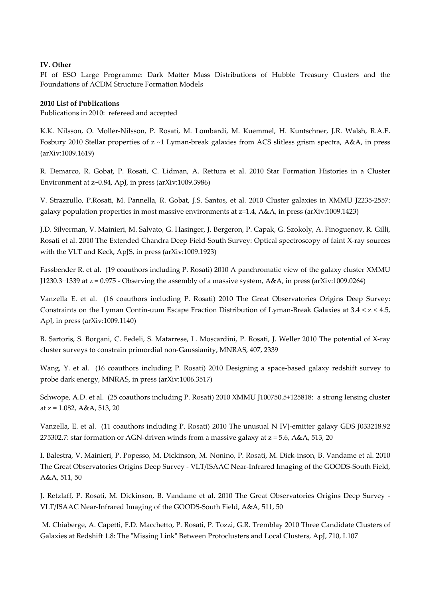#### **IV. Other**

PI of ESO Large Programme: Dark Matter Mass Distributions of Hubble Treasury Clusters and the Foundations of ΛCDM Structure Formation Models

#### **2010 List of Publications**

Publications in 2010: refereed and accepted

K.K. Nilsson, O. Moller-Nilsson, P. Rosati, M. Lombardi, M. Kuemmel, H. Kuntschner, J.R. Walsh, R.A.E. Fosbury 2010 Stellar properties of z ~1 Lyman-break galaxies from ACS slitless grism spectra, A&A, in press (arXiv:1009.1619)

R. Demarco, R. Gobat, P. Rosati, C. Lidman, A. Rettura et al. 2010 Star Formation Histories in a Cluster Environment at z~0.84, ApJ, in press (arXiv:1009.3986)

V. Strazzullo, P.Rosati, M. Pannella, R. Gobat, J.S. Santos, et al. 2010 Cluster galaxies in XMMU J2235-2557: galaxy population properties in most massive environments at z=1.4, A&A, in press (arXiv:1009.1423)

J.D. Silverman, V. Mainieri, M. Salvato, G. Hasinger, J. Bergeron, P. Capak, G. Szokoly, A. Finoguenov, R. Gilli, Rosati et al. 2010 The Extended Chandra Deep Field-South Survey: Optical spectroscopy of faint X-ray sources with the VLT and Keck, ApJS, in press (arXiv:1009.1923)

Fassbender R. et al. (19 coauthors including P. Rosati) 2010 A panchromatic view of the galaxy cluster XMMU J1230.3+1339 at z = 0.975 - Observing the assembly of a massive system, A&A, in press (arXiv:1009.0264)

Vanzella E. et al. (16 coauthors including P. Rosati) 2010 The Great Observatories Origins Deep Survey: Constraints on the Lyman Contin-uum Escape Fraction Distribution of Lyman-Break Galaxies at  $3.4 < z < 4.5$ , ApJ, in press (arXiv:1009.1140)

B. Sartoris, S. Borgani, C. Fedeli, S. Matarrese, L. Moscardini, P. Rosati, J. Weller 2010 The potential of X-ray cluster surveys to constrain primordial non-Gaussianity, MNRAS, 407, 2339

Wang, Y. et al. (16 coauthors including P. Rosati) 2010 Designing a space-based galaxy redshift survey to probe dark energy, MNRAS, in press (arXiv:1006.3517)

Schwope, A.D. et al. (25 coauthors including P. Rosati) 2010 XMMU J100750.5+125818: a strong lensing cluster at z = 1.082, A&A, 513, 20

Vanzella, E. et al. (11 coauthors including P. Rosati) 2010 The unusual N IV]-emitter galaxy GDS J033218.92 275302.7: star formation or AGN-driven winds from a massive galaxy at  $z = 5.6$ , A&A, 513, 20

I. Balestra, V. Mainieri, P. Popesso, M. Dickinson, M. Nonino, P. Rosati, M. Dick-inson, B. Vandame et al. 2010 The Great Observatories Origins Deep Survey - VLT/ISAAC Near-Infrared Imaging of the GOODS-South Field, A&A, 511, 50

J. Retzlaff, P. Rosati, M. Dickinson, B. Vandame et al. 2010 The Great Observatories Origins Deep Survey - VLT/ISAAC Near-Infrared Imaging of the GOODS-South Field, A&A, 511, 50

 M. Chiaberge, A. Capetti, F.D. Macchetto, P. Rosati, P. Tozzi, G.R. Tremblay 2010 Three Candidate Clusters of Galaxies at Redshift 1.8: The "Missing Link" Between Protoclusters and Local Clusters, ApJ, 710, L107